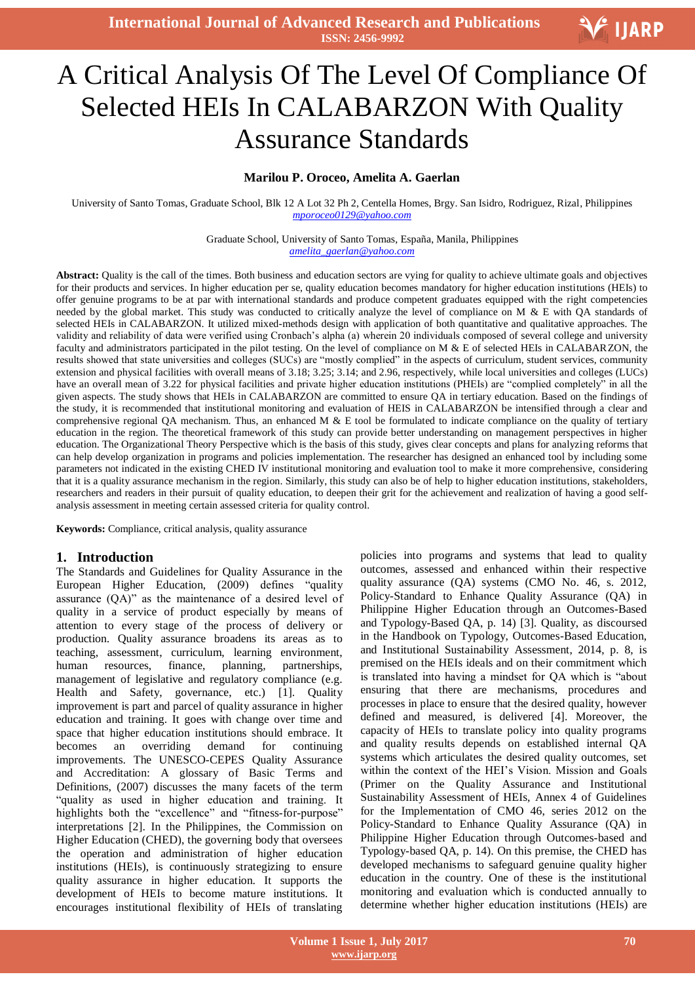**International Journal of Advanced Research and Publications ISSN: 2456-9992**



# Ξ A Critical Analysis Of The Level Of Compliance Of Selected HEIs In CALABARZON With Quality Assurance Standards

#### **Marilou P. Oroceo, Amelita A. Gaerlan**

University of Santo Tomas, Graduate School, Blk 12 A Lot 32 Ph 2, Centella Homes, Brgy. San Isidro, Rodriguez, Rizal, Philippines *mporoceo0129@yahoo.com*

> Graduate School, University of Santo Tomas, España, Manila, Philippines *amelita\_gaerlan@yahoo.com*

**Abstract:** Quality is the call of the times. Both business and education sectors are vying for quality to achieve ultimate goals and objectives for their products and services. In higher education per se, quality education becomes mandatory for higher education institutions (HEIs) to offer genuine programs to be at par with international standards and produce competent graduates equipped with the right competencies needed by the global market. This study was conducted to critically analyze the level of compliance on M & E with QA standards of selected HEIs in CALABARZON. It utilized mixed-methods design with application of both quantitative and qualitative approaches. The validity and reliability of data were verified using Cronbach's alpha (a) wherein 20 individuals composed of several college and university faculty and administrators participated in the pilot testing. On the level of compliance on M & E of selected HEIs in CALABARZON, the results showed that state universities and colleges (SUCs) are "mostly complied" in the aspects of curriculum, student services, community extension and physical facilities with overall means of 3.18; 3.25; 3.14; and 2.96, respectively, while local universities and colleges (LUCs) have an overall mean of 3.22 for physical facilities and private higher education institutions (PHEIs) are "complied completely" in all the given aspects. The study shows that HEIs in CALABARZON are committed to ensure QA in tertiary education. Based on the findings of the study, it is recommended that institutional monitoring and evaluation of HEIS in CALABARZON be intensified through a clear and comprehensive regional QA mechanism. Thus, an enhanced M & E tool be formulated to indicate compliance on the quality of tertiary education in the region. The theoretical framework of this study can provide better understanding on management perspectives in higher education. The Organizational Theory Perspective which is the basis of this study, gives clear concepts and plans for analyzing reforms that can help develop organization in programs and policies implementation. The researcher has designed an enhanced tool by including some parameters not indicated in the existing CHED IV institutional monitoring and evaluation tool to make it more comprehensive, considering that it is a quality assurance mechanism in the region. Similarly, this study can also be of help to higher education institutions, stakeholders, researchers and readers in their pursuit of quality education, to deepen their grit for the achievement and realization of having a good selfanalysis assessment in meeting certain assessed criteria for quality control.

**Keywords:** Compliance, critical analysis, quality assurance

#### **1. Introduction**

The Standards and Guidelines for Quality Assurance in the European Higher Education, (2009) defines "quality assurance (QA)" as the maintenance of a desired level of quality in a service of product especially by means of attention to every stage of the process of delivery or production. Quality assurance broadens its areas as to teaching, assessment, curriculum, learning environment, human resources, finance, planning, partnerships, management of legislative and regulatory compliance (e.g. Health and Safety, governance, etc.) [1]. Quality improvement is part and parcel of quality assurance in higher education and training. It goes with change over time and space that higher education institutions should embrace. It becomes an overriding demand for continuing improvements. The UNESCO-CEPES Quality Assurance and Accreditation: A glossary of Basic Terms and Definitions, (2007) discusses the many facets of the term "quality as used in higher education and training. It highlights both the "excellence" and "fitness-for-purpose" interpretations [2]. In the Philippines, the Commission on Higher Education (CHED), the governing body that oversees the operation and administration of higher education institutions (HEIs), is continuously strategizing to ensure quality assurance in higher education. It supports the development of HEIs to become mature institutions. It encourages institutional flexibility of HEIs of translating

policies into programs and systems that lead to quality outcomes, assessed and enhanced within their respective quality assurance (QA) systems (CMO No. 46, s. 2012, Policy-Standard to Enhance Quality Assurance (QA) in Philippine Higher Education through an Outcomes-Based and Typology-Based QA, p. 14) [3]. Quality, as discoursed in the Handbook on Typology, Outcomes-Based Education, and Institutional Sustainability Assessment, 2014, p. 8, is premised on the HEIs ideals and on their commitment which is translated into having a mindset for QA which is "about ensuring that there are mechanisms, procedures and processes in place to ensure that the desired quality, however defined and measured, is delivered [4]. Moreover, the capacity of HEIs to translate policy into quality programs and quality results depends on established internal QA systems which articulates the desired quality outcomes, set within the context of the HEI's Vision. Mission and Goals (Primer on the Quality Assurance and Institutional Sustainability Assessment of HEIs, Annex 4 of Guidelines for the Implementation of CMO 46, series 2012 on the Policy-Standard to Enhance Quality Assurance (QA) in Philippine Higher Education through Outcomes-based and Typology-based QA, p. 14). On this premise, the CHED has developed mechanisms to safeguard genuine quality higher education in the country. One of these is the institutional monitoring and evaluation which is conducted annually to determine whether higher education institutions (HEIs) are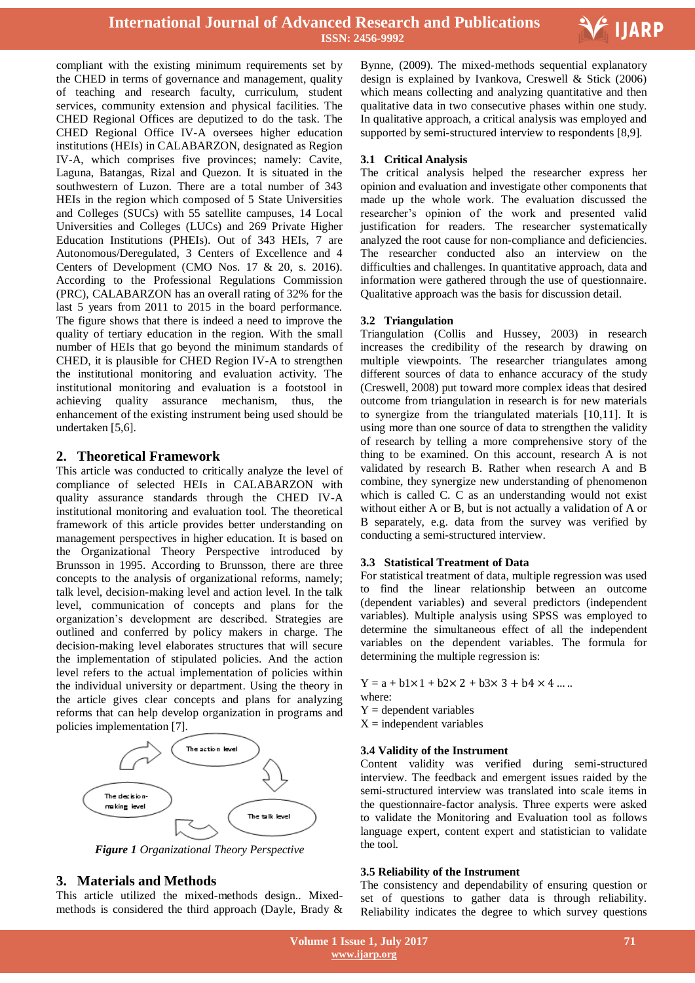

compliant with the existing minimum requirements set by the CHED in terms of governance and management, quality of teaching and research faculty, curriculum, student services, community extension and physical facilities. The CHED Regional Offices are deputized to do the task. The CHED Regional Office IV-A oversees higher education institutions (HEIs) in CALABARZON, designated as Region IV-A, which comprises five provinces; namely: Cavite, Laguna, Batangas, Rizal and Quezon. It is situated in the southwestern of Luzon. There are a total number of 343 HEIs in the region which composed of 5 State Universities and Colleges (SUCs) with 55 satellite campuses, 14 Local Universities and Colleges (LUCs) and 269 Private Higher Education Institutions (PHEIs). Out of 343 HEIs, 7 are Autonomous/Deregulated, 3 Centers of Excellence and 4 Centers of Development (CMO Nos. 17 & 20, s. 2016). According to the Professional Regulations Commission (PRC), CALABARZON has an overall rating of 32% for the last 5 years from 2011 to 2015 in the board performance. The figure shows that there is indeed a need to improve the quality of tertiary education in the region. With the small number of HEIs that go beyond the minimum standards of CHED, it is plausible for CHED Region IV-A to strengthen the institutional monitoring and evaluation activity. The institutional monitoring and evaluation is a footstool in achieving quality assurance mechanism, thus, the enhancement of the existing instrument being used should be undertaken [5,6].

# **2. Theoretical Framework**

This article was conducted to critically analyze the level of compliance of selected HEIs in CALABARZON with quality assurance standards through the CHED IV-A institutional monitoring and evaluation tool. The theoretical framework of this article provides better understanding on management perspectives in higher education. It is based on the Organizational Theory Perspective introduced by Brunsson in 1995. According to Brunsson, there are three concepts to the analysis of organizational reforms, namely; talk level, decision-making level and action level. In the talk level, communication of concepts and plans for the organization's development are described. Strategies are outlined and conferred by policy makers in charge. The decision-making level elaborates structures that will secure the implementation of stipulated policies. And the action level refers to the actual implementation of policies within the individual university or department. Using the theory in the article gives clear concepts and plans for analyzing reforms that can help develop organization in programs and policies implementation [7].



*Figure 1 Organizational Theory Perspective*

# **3. Materials and Methods**

This article utilized the mixed-methods design.. Mixedmethods is considered the third approach (Dayle, Brady &

 Bynne, (2009). The mixed-methods sequential explanatory design is explained by Ivankova, Creswell & Stick (2006) which means collecting and analyzing quantitative and then qualitative data in two consecutive phases within one study. In qualitative approach, a critical analysis was employed and supported by semi-structured interview to respondents [8,9].

## **3.1 Critical Analysis**

The critical analysis helped the researcher express her opinion and evaluation and investigate other components that made up the whole work. The evaluation discussed the researcher's opinion of the work and presented valid justification for readers. The researcher systematically analyzed the root cause for non-compliance and deficiencies. The researcher conducted also an interview on the difficulties and challenges. In quantitative approach, data and information were gathered through the use of questionnaire. Qualitative approach was the basis for discussion detail.

## **3.2 Triangulation**

Triangulation (Collis and Hussey, 2003) in research increases the credibility of the research by drawing on multiple viewpoints. The researcher triangulates among different sources of data to enhance accuracy of the study (Creswell, 2008) put toward more complex ideas that desired outcome from triangulation in research is for new materials to synergize from the triangulated materials [10,11]. It is using more than one source of data to strengthen the validity of research by telling a more comprehensive story of the thing to be examined. On this account, research A is not validated by research B. Rather when research A and B combine, they synergize new understanding of phenomenon which is called C. C as an understanding would not exist without either A or B, but is not actually a validation of A or B separately, e.g. data from the survey was verified by conducting a semi-structured interview.

#### **3.3 Statistical Treatment of Data**

For statistical treatment of data, multiple regression was used to find the linear relationship between an outcome (dependent variables) and several predictors (independent variables). Multiple analysis using SPSS was employed to determine the simultaneous effect of all the independent variables on the dependent variables. The formula for determining the multiple regression is:

 $Y = a + b1 \times 1 + b2 \times 2 + b3 \times 3 + b4 \times 4 ...$ 

where:

 $Y =$  dependent variables

 $X =$  independent variables

## **3.4 Validity of the Instrument**

Content validity was verified during semi-structured interview. The feedback and emergent issues raided by the semi-structured interview was translated into scale items in the questionnaire-factor analysis. Three experts were asked to validate the Monitoring and Evaluation tool as follows language expert, content expert and statistician to validate the tool.

#### **3.5 Reliability of the Instrument**

The consistency and dependability of ensuring question or set of questions to gather data is through reliability. Reliability indicates the degree to which survey questions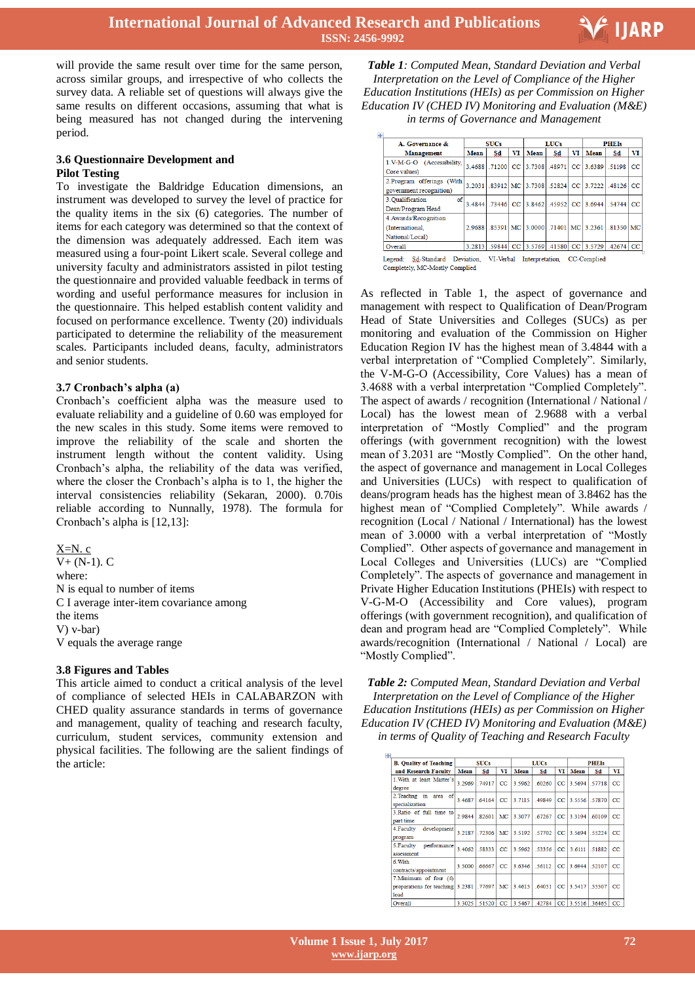

will provide the same result over time for the same person, across similar groups, and irrespective of who collects the survey data. A reliable set of questions will always give the same results on different occasions, assuming that what is being measured has not changed during the intervening period.

#### **3.6 Questionnaire Development and Pilot Testing**

To investigate the Baldridge Education dimensions, an instrument was developed to survey the level of practice for the quality items in the six (6) categories. The number of items for each category was determined so that the context of the dimension was adequately addressed. Each item was measured using a four-point Likert scale. Several college and university faculty and administrators assisted in pilot testing the questionnaire and provided valuable feedback in terms of wording and useful performance measures for inclusion in the questionnaire. This helped establish content validity and focused on performance excellence. Twenty (20) individuals participated to determine the reliability of the measurement scales. Participants included deans, faculty, administrators and senior students.

## **3.7 Cronbach's alpha (a)**

Cronbach's coefficient alpha was the measure used to evaluate reliability and a guideline of 0.60 was employed for the new scales in this study. Some items were removed to improve the reliability of the scale and shorten the instrument length without the content validity. Using Cronbach's alpha, the reliability of the data was verified, where the closer the Cronbach's alpha is to 1, the higher the interval consistencies reliability (Sekaran, 2000). 0.70is reliable according to Nunnally, 1978). The formula for Cronbach's alpha is [12,13]:

 $X=N$ . c  $V+ (N-1)$ . C where: N is equal to number of items C I average inter-item covariance among the items V) v-bar) V equals the average range

#### **3.8 Figures and Tables**

This article aimed to conduct a critical analysis of the level of compliance of selected HEIs in CALABARZON with CHED quality assurance standards in terms of governance and management, quality of teaching and research faculty, curriculum, student services, community extension and physical facilities. The following are the salient findings of the article:

 *Table 1: Computed Mean, Standard Deviation and Verbal Interpretation on the Level of Compliance of the Higher Education Institutions (HEIs) as per Commission on Higher Education IV (CHED IV) Monitoring and Evaluation (M&E) in terms of Governance and Management*

| A. Governance &            | <b>SUCs</b> |    |    | <b>LUCs</b> |    |      | <b>PHEIs</b>                                                |    |    |
|----------------------------|-------------|----|----|-------------|----|------|-------------------------------------------------------------|----|----|
| <b>Management</b>          | Mean        | Sd | VI | <b>Mean</b> | Sd | VI l | Mean                                                        | Sd | VI |
| 1.V-M-G-O (Accessibility,  |             |    |    |             |    |      | 3.4688 .71200 CC 3.7308 .48971 CC 3.6389 .51198 .           |    | cc |
| Core values)               |             |    |    |             |    |      |                                                             |    |    |
| 2. Program offerings (With |             |    |    |             |    |      | 3.2031 .83912 MC 3.7308 .52824 CC 3.7222 .48126 CC          |    |    |
| government recognition)    |             |    |    |             |    |      |                                                             |    |    |
| of<br>3. Oualification     |             |    |    |             |    |      | 3.4844 73446   CC 3.8462   .45952   CC 3.6944   .54744   CC |    |    |
| Dean/Program Head          |             |    |    |             |    |      |                                                             |    |    |
| 4. Awards/Recognition      |             |    |    |             |    |      |                                                             |    |    |
| (International,            |             |    |    |             |    |      | 2.9688 .85391 MC 3.0000 .71401 MC 3.2361 .81350 MC          |    |    |
| National/Local)            |             |    |    |             |    |      |                                                             |    |    |
| Overall                    |             |    |    |             |    |      | 3.2813 59844 CC 3.5769 41580 CC 3.5729 42674 CC             |    |    |

Completely, MC-Mostly Complied

As reflected in Table 1, the aspect of governance and management with respect to Qualification of Dean/Program Head of State Universities and Colleges (SUCs) as per monitoring and evaluation of the Commission on Higher Education Region IV has the highest mean of 3.4844 with a verbal interpretation of "Complied Completely". Similarly, the V-M-G-O (Accessibility, Core Values) has a mean of 3.4688 with a verbal interpretation "Complied Completely". The aspect of awards / recognition (International / National / Local) has the lowest mean of 2.9688 with a verbal interpretation of "Mostly Complied" and the program offerings (with government recognition) with the lowest mean of 3.2031 are "Mostly Complied". On the other hand, the aspect of governance and management in Local Colleges and Universities (LUCs) with respect to qualification of deans/program heads has the highest mean of 3.8462 has the highest mean of "Complied Completely". While awards / recognition (Local / National / International) has the lowest mean of 3.0000 with a verbal interpretation of "Mostly Complied". Other aspects of governance and management in Local Colleges and Universities (LUCs) are "Complied Completely". The aspects of governance and management in Private Higher Education Institutions (PHEIs) with respect to V-G-M-O (Accessibility and Core values), program offerings (with government recognition), and qualification of dean and program head are "Complied Completely". While awards/recognition (International / National / Local) are "Mostly Complied".

*Table 2: Computed Mean, Standard Deviation and Verbal Interpretation on the Level of Compliance of the Higher Education Institutions (HEIs) as per Commission on Higher Education IV (CHED IV) Monitoring and Evaluation (M&E) in terms of Quality of Teaching and Research Faculty*

| ÷                                                                         |             |        |         |        |             |             |                      |              |             |  |
|---------------------------------------------------------------------------|-------------|--------|---------|--------|-------------|-------------|----------------------|--------------|-------------|--|
| <b>B. Quality of Teaching</b>                                             | <b>SUCs</b> |        |         |        | <b>LUCs</b> |             | <b>PHEIs</b>         |              |             |  |
| and Research Faculty                                                      | <b>Mean</b> | Sd     | VI      | Mean   | Sd          | VI          | Mean                 | Sd           | VI          |  |
| 1. With at least Master's<br>degree                                       | 3.2969      | .74917 | CC      | 3.5962 | .60260      | CC          |                      | 3.5694 57718 | $_{\rm CC}$ |  |
| 2. Teachng in area of<br>specialization                                   | 3.4687      | .64164 | CC      | 3.7115 | 49849       | CC          | 3.5556 57870         |              | CC          |  |
| 3. Ratio of full time to<br>part time                                     | 2.9844      | 82601  | МC      | 3 3077 | 672.67      | CC          | 33194                | 60109        | CC          |  |
| 4. Faculty<br>development<br>program                                      | 3.2187      | .72306 | MC      | 3.5192 | .57702      | CC          | 3.5694               | .55224       | $_{\rm CC}$ |  |
| performance<br>5. Faculty<br>assessment                                   | 3.4062      | 58333  | CC      | 3.5962 | 53356       | $_{\rm CC}$ | 3.6111               | .51882       | CC          |  |
| $6 \text{ With}$<br>contracts/appointment                                 | 3 5000      | 66667  | $_{cc}$ | 3 6346 | 56112       | cc          | 3 6944               | 52107        | CC          |  |
| 7. Minimum of four (4)<br>preparations for teaching 3.2381 .77697<br>load |             |        | MC      | 3.4615 | .64051      |             | CC 3.5417 55507      |              | $_{\rm CC}$ |  |
| Overall                                                                   | 3.3025      | 51520  | cc      | 3.5467 |             |             | 42784 CC 35516 36465 |              | cc          |  |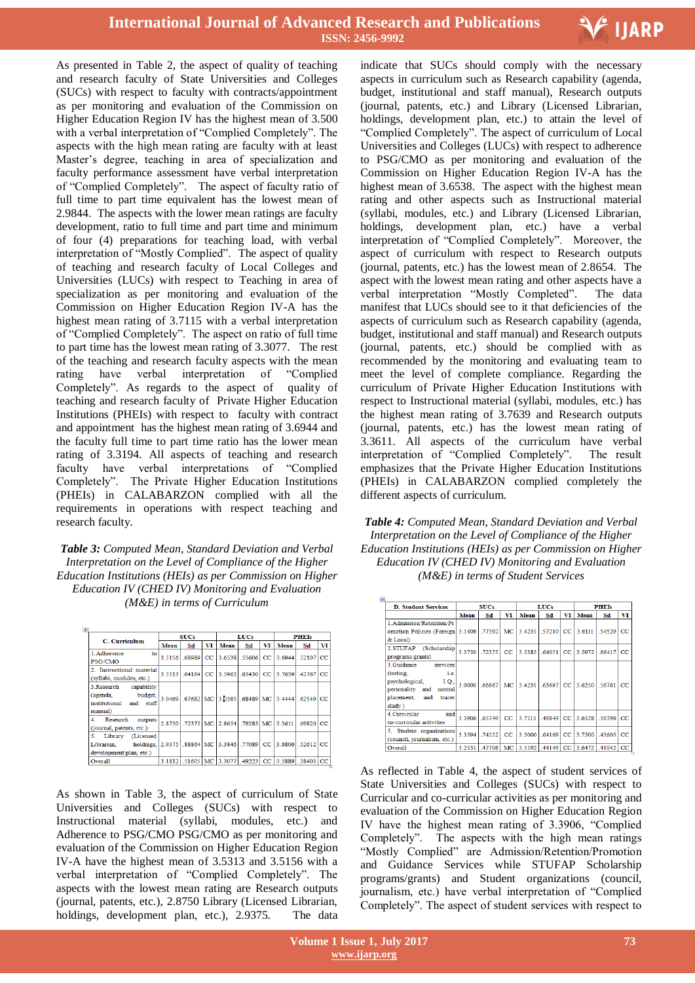

As presented in Table 2, the aspect of quality of teaching and research faculty of State Universities and Colleges (SUCs) with respect to faculty with contracts/appointment as per monitoring and evaluation of the Commission on Higher Education Region IV has the highest mean of 3.500 with a verbal interpretation of "Complied Completely". The aspects with the high mean rating are faculty with at least Master's degree, teaching in area of specialization and faculty performance assessment have verbal interpretation of "Complied Completely". The aspect of faculty ratio of full time to part time equivalent has the lowest mean of 2.9844. The aspects with the lower mean ratings are faculty development, ratio to full time and part time and minimum of four (4) preparations for teaching load, with verbal interpretation of "Mostly Complied". The aspect of quality of teaching and research faculty of Local Colleges and Universities (LUCs) with respect to Teaching in area of specialization as per monitoring and evaluation of the Commission on Higher Education Region IV-A has the highest mean rating of 3.7115 with a verbal interpretation of "Complied Completely". The aspect on ratio of full time to part time has the lowest mean rating of 3.3077. The rest of the teaching and research faculty aspects with the mean rating have verbal interpretation of "Complied Completely". As regards to the aspect of quality of teaching and research faculty of Private Higher Education Institutions (PHEIs) with respect to faculty with contract and appointment has the highest mean rating of 3.6944 and the faculty full time to part time ratio has the lower mean rating of 3.3194. All aspects of teaching and research faculty have verbal interpretations of "Complied Completely". The Private Higher Education Institutions (PHEIs) in CALABARZON complied with all the requirements in operations with respect teaching and research faculty.

*Table 3: Computed Mean, Standard Deviation and Verbal Interpretation on the Level of Compliance of the Higher Education Institutions (HEIs) as per Commission on Higher Education IV (CHED IV) Monitoring and Evaluation (M&E) in terms of Curriculum*

| ţ.                                                                                     |             |    |    |                                                                |             |    |              |    |    |  |
|----------------------------------------------------------------------------------------|-------------|----|----|----------------------------------------------------------------|-------------|----|--------------|----|----|--|
| C. Curriculum                                                                          | <b>SUCs</b> |    |    |                                                                | <b>LUCs</b> |    | <b>PHEIs</b> |    |    |  |
|                                                                                        | Mean        | Sd | VI | Mean                                                           | Sd          | VI | Mean         | Sd | VI |  |
| 1. Adherence<br>to<br><b>PSG/CMO</b>                                                   |             |    |    | 3.5156 68989 CC 3.6538 55606 CC 3.6944 52107 CC                |             |    |              |    |    |  |
| 2. Instructional material<br>(syllabi, modules, etc.)                                  |             |    |    | 3.5313 64164 CC 3.5962 63430 CC 3.7639 42767 CC                |             |    |              |    |    |  |
| capability<br>3. Research<br>budget,<br>(agenda,<br>institutional and staff<br>manual) |             |    |    | 3.0469 .67682 MC 3.0385 .68489 MC 3.4444 .62549 CC             |             |    |              |    |    |  |
| 4 <sup>1</sup><br>Research<br>outputs<br>(journal, patents, etc.)                      |             |    |    | 2.8750 .72375   MC   2.8654 .79283   MC   3.3611   .69820   CC |             |    |              |    |    |  |
| 5.<br>(Licensed<br>Library<br>holdings,<br>Librarian.<br>development plan, etc.)       |             |    |    | 2.9375 88864 MC 3.3846 77089 CC 3.6806 52612 CC                |             |    |              |    |    |  |
| Overall                                                                                |             |    |    | 3.1812 51605 MC 3.3077 49223 CC 3.5889 38403 CC                |             |    |              |    |    |  |

As shown in Table 3, the aspect of curriculum of State Universities and Colleges (SUCs) with respect to Instructional material (syllabi, modules, etc.) and Adherence to PSG/CMO PSG/CMO as per monitoring and evaluation of the Commission on Higher Education Region IV-A have the highest mean of 3.5313 and 3.5156 with a verbal interpretation of "Complied Completely". The aspects with the lowest mean rating are Research outputs (journal, patents, etc.), 2.8750 Library (Licensed Librarian, holdings, development plan, etc.), 2.9375. The data

 indicate that SUCs should comply with the necessary aspects in curriculum such as Research capability (agenda, budget, institutional and staff manual), Research outputs (journal, patents, etc.) and Library (Licensed Librarian, holdings, development plan, etc.) to attain the level of "Complied Completely". The aspect of curriculum of Local Universities and Colleges (LUCs) with respect to adherence to PSG/CMO as per monitoring and evaluation of the Commission on Higher Education Region IV-A has the highest mean of 3.6538. The aspect with the highest mean rating and other aspects such as Instructional material (syllabi, modules, etc.) and Library (Licensed Librarian, holdings, development plan, etc.) have a verbal interpretation of "Complied Completely". Moreover, the aspect of curriculum with respect to Research outputs (journal, patents, etc.) has the lowest mean of 2.8654. The aspect with the lowest mean rating and other aspects have a verbal interpretation "Mostly Completed". The data manifest that LUCs should see to it that deficiencies of the aspects of curriculum such as Research capability (agenda, budget, institutional and staff manual) and Research outputs (journal, patents, etc.) should be complied with as recommended by the monitoring and evaluating team to meet the level of complete compliance. Regarding the curriculum of Private Higher Education Institutions with respect to Instructional material (syllabi, modules, etc.) has the highest mean rating of 3.7639 and Research outputs (journal, patents, etc.) has the lowest mean rating of 3.3611. All aspects of the curriculum have verbal interpretation of "Complied Completely". The result emphasizes that the Private Higher Education Institutions (PHEIs) in CALABARZON complied completely the different aspects of curriculum.

*Table 4: Computed Mean, Standard Deviation and Verbal Interpretation on the Level of Compliance of the Higher Education Institutions (HEIs) as per Commission on Higher Education IV (CHED IV) Monitoring and Evaluation (M&E) in terms of Student Services*

| $+$ |                                         |             |        |             |                        |               |    |              |                                      |             |
|-----|-----------------------------------------|-------------|--------|-------------|------------------------|---------------|----|--------------|--------------------------------------|-------------|
|     | <b>D. Student Services</b>              | <b>SUCs</b> |        |             |                        | <b>LUCs</b>   |    | <b>PHEIs</b> |                                      |             |
|     |                                         | Mean        | Sd     | VI          | Mean                   | Sd            | VI | Mean         | Sd                                   | VI          |
|     | 1. Admission/Retention/Pr               |             |        |             |                        |               |    |              |                                      |             |
|     | omotion Policies (Foreign 3.1406 77392) |             |        |             | MC 3.4231 57210 CC     |               |    |              | 3.6111 .54529                        | CC          |
|     | & Local)                                |             |        |             |                        |               |    |              |                                      |             |
|     | 2.STUFAP (Scholarship)                  | 3 3750      | 72375  | $_{\rm cc}$ | 3.5385 64051 CC 3.5972 |               |    |              | 66417                                | $_{\rm CC}$ |
|     | programs/grants)                        |             |        |             |                        |               |    |              |                                      |             |
|     | 3 Guidance<br>services                  |             |        |             |                        |               |    |              |                                      |             |
|     | (testing.)<br>i.e.                      |             |        |             |                        |               |    |              |                                      |             |
|     | I.Q.,<br>psychological,                 | 3.0000      | 66667  | MC          | 3.4231                 | $63697$ CC    |    | 3.6250 56761 |                                      | CC          |
|     | personality and mental                  |             |        |             |                        |               |    |              |                                      |             |
|     | placement.<br>and<br>tracer             |             |        |             |                        |               |    |              |                                      |             |
|     | study)                                  |             |        |             |                        |               |    |              |                                      |             |
|     | 4. Curricular<br>and                    | 3.3906      | .65749 | $_{\rm CC}$ | 3.7115                 | $.49849$ $CC$ |    |              | 3.6528 .50796                        | CC          |
|     | co-curricular activities                |             |        |             |                        |               |    |              |                                      |             |
|     | 5. Student organizations                | 3 3594      | 74252  | $_{\rm cc}$ | 3 5000                 | 64169 CC      |    |              | 3 7500 43605                         | $_{cc}$     |
|     | (council, journalism, etc.)             |             |        |             |                        |               |    |              |                                      |             |
|     | <b>Overall</b>                          | 3.2531      | .47708 |             |                        |               |    |              | MC 3.5192 .44149 CC 3.6472 .41042 CC |             |

As reflected in Table 4, the aspect of student services of State Universities and Colleges (SUCs) with respect to Curricular and co-curricular activities as per monitoring and evaluation of the Commission on Higher Education Region IV have the highest mean rating of 3.3906, "Complied Completely". The aspects with the high mean ratings "Mostly Complied" are Admission/Retention/Promotion and Guidance Services while STUFAP Scholarship programs/grants) and Student organizations (council, journalism, etc.) have verbal interpretation of "Complied Completely". The aspect of student services with respect to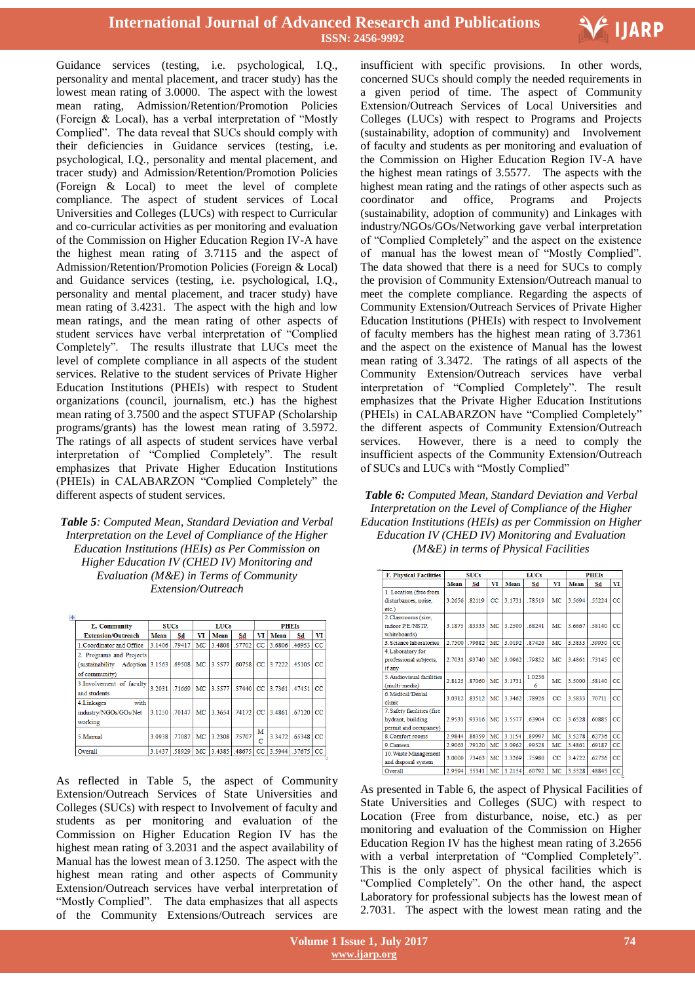

Guidance services (testing, i.e. psychological, I.Q., personality and mental placement, and tracer study) has the lowest mean rating of 3.0000. The aspect with the lowest mean rating, Admission/Retention/Promotion Policies (Foreign & Local), has a verbal interpretation of "Mostly Complied". The data reveal that SUCs should comply with their deficiencies in Guidance services (testing, i.e. psychological, I.Q., personality and mental placement, and tracer study) and Admission/Retention/Promotion Policies (Foreign & Local) to meet the level of complete compliance. The aspect of student services of Local Universities and Colleges (LUCs) with respect to Curricular and co-curricular activities as per monitoring and evaluation of the Commission on Higher Education Region IV-A have the highest mean rating of 3.7115 and the aspect of Admission/Retention/Promotion Policies (Foreign & Local) and Guidance services (testing, i.e. psychological, I.Q., personality and mental placement, and tracer study) have mean rating of 3.4231. The aspect with the high and low mean ratings, and the mean rating of other aspects of student services have verbal interpretation of "Complied Completely". The results illustrate that LUCs meet the level of complete compliance in all aspects of the student services. Relative to the student services of Private Higher Education Institutions (PHEIs) with respect to Student organizations (council, journalism, etc.) has the highest mean rating of 3.7500 and the aspect STUFAP (Scholarship programs/grants) has the lowest mean rating of 3.5972. The ratings of all aspects of student services have verbal interpretation of "Complied Completely". The result emphasizes that Private Higher Education Institutions (PHEIs) in CALABARZON "Complied Completely" the different aspects of student services.

*Table 5: Computed Mean, Standard Deviation and Verbal Interpretation on the Level of Compliance of the Higher Education Institutions (HEIs) as Per Commission on Higher Education IV (CHED IV) Monitoring and Evaluation (M&E) in Terms of Community Extension/Outreach*

| $\overline{+}$                            |             |                  |           |                                   |               |              |        |              |             |
|-------------------------------------------|-------------|------------------|-----------|-----------------------------------|---------------|--------------|--------|--------------|-------------|
| <b>E.</b> Community                       | <b>SUCs</b> |                  |           | <b>LUCs</b>                       |               | <b>PHEIS</b> |        |              |             |
| <b>Extension/Outreach</b>                 | Mean        | Sd               | VI        | Mean                              | Sd            | VI           | Mean   | Sd           | VI          |
| 1. Coordinator and Office                 | 3.1406      | .79417           | MC        | 3.4808                            | .57702        | $_{\rm CC}$  | 3.6806 | 46953        | CC          |
| 2. Programs and Projects                  |             |                  |           |                                   |               |              |        |              |             |
| (sustainability. Adoption 3.1563   .69508 |             |                  | MC        | 3.5577 60758 CC 3.7222 45105      |               |              |        |              | $_{\rm CC}$ |
| of community)                             |             |                  |           |                                   |               |              |        |              |             |
| 3. Involvement of faculty                 | 3.2031      | 1.71669          | <b>MC</b> | 3.5577 57440 CC 3.7361 47451 CC   |               |              |        |              |             |
| and students                              |             |                  |           |                                   |               |              |        |              |             |
| with<br>4. Linkages                       |             |                  |           |                                   |               |              |        |              |             |
| industry/NGOs/GOs/Net                     |             | 3.1250 .70147 MC |           | 3.3654 .74172 CC 3.4861 .67120 CC |               |              |        |              |             |
| working                                   |             |                  |           |                                   |               |              |        |              |             |
| 5. Manual                                 |             | 3.0938 77087     | MC        |                                   | 3.2308 .75707 | м            |        | 3.3472 65348 | $_{\rm CC}$ |
|                                           |             |                  |           |                                   |               | с            |        |              |             |
| Overall                                   | 3 1 4 3 7   | 58929            | MC        | 3.4385 .48675                     |               | $_{\rm CC}$  |        | 3 5944 37675 | CC          |

As reflected in Table 5, the aspect of Community Extension/Outreach Services of State Universities and Colleges (SUCs) with respect to Involvement of faculty and students as per monitoring and evaluation of the Commission on Higher Education Region IV has the highest mean rating of 3.2031 and the aspect availability of Manual has the lowest mean of 3.1250. The aspect with the highest mean rating and other aspects of Community Extension/Outreach services have verbal interpretation of "Mostly Complied". The data emphasizes that all aspects of the Community Extensions/Outreach services are

 insufficient with specific provisions. In other words, concerned SUCs should comply the needed requirements in a given period of time. The aspect of Community Extension/Outreach Services of Local Universities and Colleges (LUCs) with respect to Programs and Projects (sustainability, adoption of community) and Involvement of faculty and students as per monitoring and evaluation of the Commission on Higher Education Region IV-A have the highest mean ratings of 3.5577. The aspects with the highest mean rating and the ratings of other aspects such as coordinator and office, Programs and Projects (sustainability, adoption of community) and Linkages with industry/NGOs/GOs/Networking gave verbal interpretation of "Complied Completely" and the aspect on the existence of manual has the lowest mean of "Mostly Complied". The data showed that there is a need for SUCs to comply the provision of Community Extension/Outreach manual to meet the complete compliance. Regarding the aspects of Community Extension/Outreach Services of Private Higher Education Institutions (PHEIs) with respect to Involvement of faculty members has the highest mean rating of 3.7361 and the aspect on the existence of Manual has the lowest mean rating of 3.3472. The ratings of all aspects of the Community Extension/Outreach services have verbal interpretation of "Complied Completely". The result emphasizes that the Private Higher Education Institutions (PHEIs) in CALABARZON have "Complied Completely" the different aspects of Community Extension/Outreach services. However, there is a need to comply the insufficient aspects of the Community Extension/Outreach of SUCs and LUCs with "Mostly Complied"

*Table 6: Computed Mean, Standard Deviation and Verbal Interpretation on the Level of Compliance of the Higher Education Institutions (HEIs) as per Commission on Higher Education IV (CHED IV) Monitoring and Evaluation (M&E) in terms of Physical Facilities*

| <b>F. Physical Facilities</b> |        | <b>SUCs</b> |             |           | <b>LUCs</b> |             | <b>PHEIs</b> |        |             |  |
|-------------------------------|--------|-------------|-------------|-----------|-------------|-------------|--------------|--------|-------------|--|
|                               | Mean   | Sd          | VI          | Mean      | Sd          | VI          | Mean         | Sd     | VI          |  |
| 1. Location (free from        |        |             |             |           |             |             |              |        |             |  |
| disturbances, noise,          | 3.2656 | .82119      | $_{\rm CC}$ | 3.1731    | .78519      | MC          | 3.5694       | .55224 | $_{\rm CC}$ |  |
| $etc.$ )                      |        |             |             |           |             |             |              |        |             |  |
| 2. Classrooms (size.          |        |             |             |           |             |             |              |        |             |  |
| indoor P.E/NSTP.              | 3 1875 | .83333      | MC          | 3.2500    | .68241      | MC          | 3 6667       | .58140 | CC          |  |
| whiteboards)                  |        |             |             |           |             |             |              |        |             |  |
| 3. Science laboratories       | 2.7500 | 79682       | <b>MC</b>   | 3.0192    | 87426       | <b>MC</b>   | 3.5833       | 59930  | CC          |  |
| 4. Laboratory for             |        |             |             |           |             |             |              |        |             |  |
| professional subjects.        | 2.7031 | .93740      | MC          | 3.0962    | .79852      | MC          | 3.4861       | .73145 | $_{\rm CC}$ |  |
| if any                        |        |             |             |           |             |             |              |        |             |  |
| 5. Audiovisual facilities     | 2.8125 | 87060       | MC          | 3 1 7 3 1 | 1 0236      | MC          | 3 5000       | 58140  | $_{cc}$     |  |
| (multi-media)                 |        |             |             |           | 6           |             |              |        |             |  |
| 6. Medical/Dental             | 3.0312 | .83512      | MC          | 3.3462    | .78926      | $_{\rm CC}$ | 3.5833       | .70711 | $_{\rm CC}$ |  |
| clinic                        |        |             |             |           |             |             |              |        |             |  |
| 7. Safety facilities (fire    |        |             |             |           |             |             |              |        |             |  |
| hydrant, building             | 2.9531 | .93316      | MC          | 3.5577    | .63904      | $_{\rm CC}$ | 3.6528       | .60885 | $_{\rm CC}$ |  |
| permit and occupancy)         |        |             |             |           |             |             |              |        |             |  |
| 8 Comfort rooms               | 29844  | .86359      | MC.         | 3 11 5 4  | 89997       | MC.         | 3 5278       | 62736  | $_{\rm CC}$ |  |
| 0 Canteen                     | 2.9063 | .79120      | MC          | 3.0962    | .99528      | MC          | 3.4861       | 69187  | $\rm CC$    |  |
| 10. Waste Management          | 3.0000 | .73463      | <b>MC</b>   | 3.3269    | .75980      | $_{\rm CC}$ | 3.4722       | 62736  | $_{\rm CC}$ |  |
| and disposal system           |        |             |             |           |             |             |              |        |             |  |
| Overall                       | 2.9594 | .55341      | MC          | 3.2154    | .60792      | MC          | 3.5528       | .48845 | $_{\rm CC}$ |  |

As presented in Table 6, the aspect of Physical Facilities of State Universities and Colleges (SUC) with respect to Location (Free from disturbance, noise, etc.) as per monitoring and evaluation of the Commission on Higher Education Region IV has the highest mean rating of 3.2656 with a verbal interpretation of "Complied Completely". This is the only aspect of physical facilities which is "Complied Completely". On the other hand, the aspect Laboratory for professional subjects has the lowest mean of 2.7031. The aspect with the lowest mean rating and the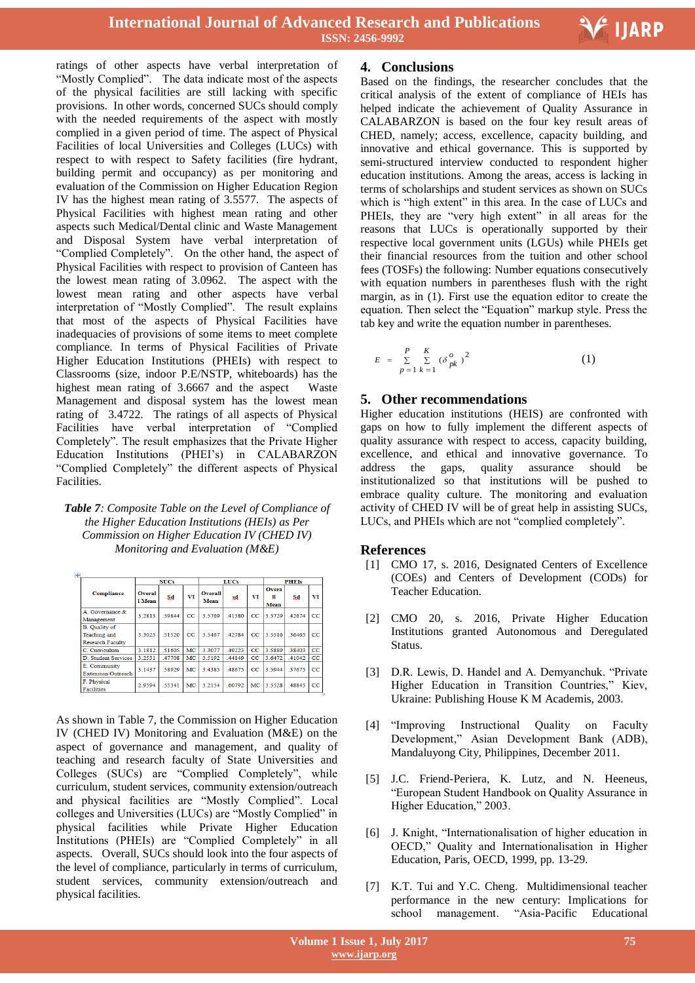V IJARP

Ξ

ratings of other aspects have verbal interpretation of "Mostly Complied". The data indicate most of the aspects of the physical facilities are still lacking with specific provisions. In other words, concerned SUCs should comply with the needed requirements of the aspect with mostly complied in a given period of time. The aspect of Physical Facilities of local Universities and Colleges (LUCs) with respect to with respect to Safety facilities (fire hydrant, building permit and occupancy) as per monitoring and evaluation of the Commission on Higher Education Region IV has the highest mean rating of 3.5577. The aspects of Physical Facilities with highest mean rating and other aspects such Medical/Dental clinic and Waste Management and Disposal System have verbal interpretation of "Complied Completely". On the other hand, the aspect of Physical Facilities with respect to provision of Canteen has the lowest mean rating of 3.0962. The aspect with the lowest mean rating and other aspects have verbal interpretation of "Mostly Complied". The result explains that most of the aspects of Physical Facilities have inadequacies of provisions of some items to meet complete compliance. In terms of Physical Facilities of Private Higher Education Institutions (PHEIs) with respect to Classrooms (size, indoor P.E/NSTP, whiteboards) has the highest mean rating of 3.6667 and the aspect Waste Management and disposal system has the lowest mean rating of 3.4722. The ratings of all aspects of Physical Facilities have verbal interpretation of "Complied Completely". The result emphasizes that the Private Higher Education Institutions (PHEI's) in CALABARZON "Complied Completely" the different aspects of Physical Facilities.

#### *Table 7: Composite Table on the Level of Compliance of the Higher Education Institutions (HEIs) as Per Commission on Higher Education IV (CHED IV) Monitoring and Evaluation (M&E)*

|                                                                        | <b>SUCs</b>             |       |         |                        | <b>LUCs</b> |             | <b>PHEIs</b>              |        |                |  |
|------------------------------------------------------------------------|-------------------------|-------|---------|------------------------|-------------|-------------|---------------------------|--------|----------------|--|
| <b>Compliance</b>                                                      | <b>Overal</b><br>1 Mean | Sd    | VT      | <b>Overall</b><br>Mean | sd          | VI          | <b>Overa</b><br>п<br>Mean | Sd     | VT             |  |
| A Governance $\&$<br>Management                                        | 3 2813                  | 59844 | $_{cc}$ | 3 5769                 | 41580       | $_{cc}$     | 3 5729                    | 42674  | $_{\rm CC}$    |  |
| <b>B.</b> Quality of<br><b>Teaching</b> and<br><b>Research Faculty</b> | 3.3025                  | 51520 | CC      | 3 5467                 | 42784       | CC          | 3.5516                    | 36465  | $_{\rm CC}$    |  |
| C. Curriculum                                                          | 3.1812                  | 51605 | MC      | 3.3077                 | 49223       | $_{\rm CC}$ | 3.5889                    | 38403  | $_{\text{CC}}$ |  |
| <b>D</b> Student Services                                              | 3.2531                  | 47708 | MC      | 3.5192                 | .44149      | CC          | 3 6472                    | 41042  | $_{\rm CC}$    |  |
| E. Community<br><b>Extension/Outreach</b>                              | 3.1437                  | 58929 | MC      | 3.4385                 | 48675       | $_{\rm CC}$ | 3.5944                    | 37675  | $_{\rm CC}$    |  |
| F. Physical<br><b>Facilities</b>                                       | 2.9594                  | 55341 | MC      | 3 2154                 | 60792       | MC          | 3.5528                    | .48845 | $_{\rm CC}$    |  |

As shown in Table 7, the Commission on Higher Education IV (CHED IV) Monitoring and Evaluation (M&E) on the aspect of governance and management, and quality of teaching and research faculty of State Universities and Colleges (SUCs) are "Complied Completely", while curriculum, student services, community extension/outreach and physical facilities are "Mostly Complied". Local colleges and Universities (LUCs) are "Mostly Complied" in physical facilities while Private Higher Education Institutions (PHEIs) are "Complied Completely" in all aspects. Overall, SUCs should look into the four aspects of the level of compliance, particularly in terms of curriculum, student services, community extension/outreach and physical facilities.

## **4. Conclusions**

Based on the findings, the researcher concludes that the critical analysis of the extent of compliance of HEIs has helped indicate the achievement of Quality Assurance in CALABARZON is based on the four key result areas of CHED, namely; access, excellence, capacity building, and innovative and ethical governance. This is supported by semi-structured interview conducted to respondent higher education institutions. Among the areas, access is lacking in terms of scholarships and student services as shown on SUCs which is "high extent" in this area. In the case of LUCs and PHEIs, they are "very high extent" in all areas for the reasons that LUCs is operationally supported by their respective local government units (LGUs) while PHEIs get their financial resources from the tuition and other school fees (TOSFs) the following: Number equations consecutively with equation numbers in parentheses flush with the right margin, as in (1). First use the equation editor to create the equation. Then select the "Equation" markup style. Press the tab key and write the equation number in parentheses.

$$
E = \sum_{p=1}^{P} \sum_{k=1}^{K} (\delta_{pk}^o)^2
$$
 (1)

# **5. Other recommendations**

Higher education institutions (HEIS) are confronted with gaps on how to fully implement the different aspects of quality assurance with respect to access, capacity building, excellence, and ethical and innovative governance. To address the gaps, quality assurance should be institutionalized so that institutions will be pushed to embrace quality culture. The monitoring and evaluation activity of CHED IV will be of great help in assisting SUCs, LUCs, and PHEIs which are not "complied completely".

# **References**

- [1] CMO 17, s. 2016, Designated Centers of Excellence (COEs) and Centers of Development (CODs) for Teacher Education.
- [2] CMO 20, s. 2016, Private Higher Education Institutions granted Autonomous and Deregulated Status.
- [3] D.R. Lewis, D. Handel and A. Demyanchuk. "Private Higher Education in Transition Countries," Kiev, Ukraine: Publishing House K M Academis, 2003.
- [4] "Improving Instructional Quality on Faculty Development," Asian Development Bank (ADB), Mandaluyong City, Philippines, December 2011.
- [5] J.C. Friend-Periera, K. Lutz, and N. Heeneus, "European Student Handbook on Quality Assurance in Higher Education," 2003.
- [6] J. Knight, "Internationalisation of higher education in OECD," Quality and Internationalisation in Higher Education, Paris, OECD, 1999, pp. 13-29.
- [7] K.T. Tui and Y.C. Cheng. Multidimensional teacher performance in the new century: Implications for school management. "Asia-Pacific Educational